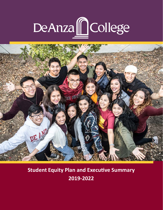# DeAnza College



# **Student Equity Plan and Executive Summary 2019-2022**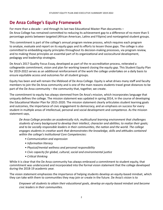## **De Anza College's Equity Framework**

For more than a decade – and through its last two Educational Master Plan documents – De Anza College has remained committed to reducing its achievement gap to a difference of no more than 5 percentage points between targeted (African American, Latinx and Filipinx) and nontargeted student groups.

This commitment is part of the college's annual program review process, which requires each program to analyze, evaluate and report on its equity gaps and its efforts to lessen those gaps. The college is also committed to embedding equity principles throughout its decision-making processes, via program review, and to making those principles an essential part of its organizational and sociocultural development, pedagogy and leadership strategies.

De Anza's 2017 Quality Focus Essay, developed as part of the re-accreditation process, reiterated a collegewide commitment, vision and plan for working toward closing the equity gap. This Student Equity Plan for 2019-2022 serves as an additional reinforcement of the work the college undertakes on a daily basis to ensure equitable access and outcomes for all student groups.

Equity has been and will remain the lifeblood of De Anza College. Equity is what drives many staff and faculty members to join the De Anza community and is one of the main reasons students travel great distances to be part of the De Anza community – the community that, together, we create.

The commitment to equity has always stemmed from De Anza's mission, which incorporates language that uniquely defines the college. The mission statement was updated in spring 2014, in the course of developing the Educational Master Plan for 2015-2020. The mission statement clearly articulates student learning goals and outcomes, the importance of civic engagement to democracy, and an emphasis on success for every student in multiple areas of intellectual, personal and social development and competence. As the mission statement says,

*De Anza College provides an academically rich, multicultural learning environment that challenges students of every background to develop their intellect, character and abilities; to realize their goals; and to be socially responsible leaders in their communities, the nation and the world. The college engages students in creative work that demonstrates the knowledge, skills and attitudes contained within the college's Institutional Core Competencies:*

- *• Communication and expression*
- *• Information literacy*
- *• Physical/mental wellness and personal responsibility*
- *• Civic capacity for global, cultural, social and environmental justice*
- *• Critical thinking*

While it is clear that the De Anza community has always embraced a commitment to student equity, that commitment was underscored and incorporated into the formal vision statement that the college developed during the 2018-19 academic year.

The vision statement emphasizes the importance of helping students develop an equity-based mindset, which they can take with them to communities they may join or create in the future. De Anza's vision is to

*Empower all students to attain their educational goals, develop an equity-based mindset and become civic leaders in their communities.*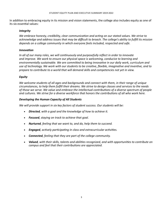In addition to embracing equity in its mission and vision statements, the college also includes equity as one of its six essential values:

## *Integrity*

*We embrace honesty, credibility, clear communication and acting on our stated values. We strive to acknowledge and address issues that may be difficult to broach. The college's ability to fulfill its mission depends on a college community in which everyone feels included, respected and safe.*

#### *Innovation*

*In all of our many roles, we will continuously and purposefully reflect in order to innovate and improve. We work to ensure our physical space is welcoming, conducive to learning and environmentally sustainable. We are committed to being innovative in our daily work, curriculum and use of technology. We work with our students to be creative, flexible, imaginative and inventive, and to prepare to contribute to a world that will demand skills and competencies not yet in view.*

## *Equity*

*We welcome students of all ages and backgrounds and connect with them, in their range of unique circumstances, to help them fulfill their dreams. We strive to design classes and services to the needs of those we serve. We value and embrace the intellectual contributions of a diverse spectrum of people and cultures. We strive for a diverse workforce that honors the contributions of all who work here.*

## *Developing the Human Capacity of All Students*

*We will provide support in six key factors of student success. Our students will be:*

- • *Directed, with a goal and the knowledge of how to achieve it.*
- • *Focused, staying on track to achieve that goal.*
- • *Nurtured, feeling that we want to, and do, help them to succeed.*
- • *Engaged, actively participating in class and extracurricular activities.*
- • *Connected, feeling that they are part of the college community.*
- • *Valued, with their skills, talents and abilities recognized, and with opportunities to contribute on campus and feel that their contributions are appreciated.*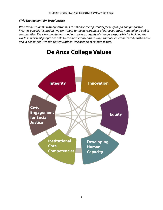## *Civic Engagement for Social Justice*

*We provide students with opportunities to enhance their potential for purposeful and productive lives. As a public institution, we contribute to the development of our local, state, national and global communities. We view our students and ourselves as agents of change, responsible for building the world in which all people are able to realize their dreams in ways that are environmentally sustainable and in alignment with the United Nations' Declaration of Human Rights.*



## **De Anza College Values**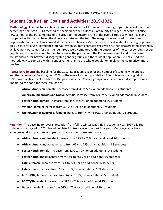## **Student Equity Plan Goals and Activities: 2019-2022**

**Methodology:** In order to calculate disproportionate impact for various student groups, this report uses the percentage point gap (PPG) method as specified by the California Community Colleges Chancellor's Office. PPG compares the outcome rate of the group to the outcome rate of the overall group to which it is being compared, with the gap being the difference between the two. The margin of error used to determine disproportionate impact was provided by the state chancellor's office and was calculated for each group based on a Z score for a 95% confidence interval. When student characteristics were further disaggregated by gender, achievement outcomes for each gender group were compared with the outcomes of the corresponding gender population. This method is intended to increase the precision of the PPG measurement and to decrease the standard error between disaggregated gender groups and the student population. De Anza used this methodology to compare within gender rather than to the whole population, making the comparison more precise.

**Access-Enrollment:** The baseline for the 2017-18 academic year, or the number of students who applied and then enrolled at De Anza, was 52% for the overall student population. The college has set a goal of 52%, based on historical trends over the past four years. Certain groups have experienced disproportionate impact, so the goals for these groups are

- • **African American, female:** increase from 43% to 50%, or an additional 114 students
- • **American Indian/Alaskan Native, female:** increase from 42% to 50%, or an additional 16 students
- • **Foster Youth, female:** increase from 45% to 50%, or an additional 22 students
- • **Veteran, female:** increase from 36% to 50%, or an additional 20 students
- • **Unknown/Not Reported, female:** increase from 44% to 50%, or an additional 21 students

**Retention:** The baseline for overall retention from fall to winter was 74% in academic year 2017-18. The college has set a goal of 75%, based on historical trends over the past four years. Certain groups have experienced disproportionate impact, so the goals for these groups are

- • **African American, female:** increase from 65% to 72%, or an additional 24 students
- • **African American, male:** increase from 65% to 75%, or an additional 33 students
- • **Foster Youth, female:** increase from 62% to 72%, or an additional 14 students
- • **Foster Youth, male:** increase from 58% to 75%, or an additional 19 students
- **Latinx, female:** increase from 69% to 72%, or an additional 86 students
- • **Latinx, male:** increase from 71% to 75%, or an additional 109 students
- • **LGBTQQI+, female:** increase from 62% to 72%, or an additional 53 students
- • **LGBTQQI+, male:** increase from 68% to 75%, or an additional 19 students
- • **Veteran, male:** increase from 66% to 75%, or an additional 29 students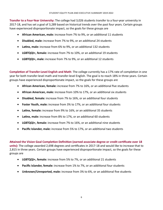**Transfer to a Four-Year University:** The college had 3,026 students transfer to a four-year university in 2017-18, and has set a goal of 3,289 based on historical trends over the past four years. Certain groups have experienced disproportionate impact, so the goals for these groups are

- • **African American, male:** increase from 7% to 9%, or an additional 11 students
- • **Disabled, male:** increase from 7% to 9%, or an additional 24 students
- • **Latinx, male:** increase from 6% to 9%, or an additional 132 students
- • **LGBTQQI+, female:** increase from 7% to 10%, or an additional 19 students
- • **LGBTQQI+, male:** increase from 7% to 9%, or an additional 12 students

**Completion of Transfer-Level English and Math**: The college currently has a 17% rate of completion in one year for both transfer-level math and transfer-level English. The goal is to reach 18% in three years. Certain groups have experienced disproportionate impact, so the goals for these groups are

- • **African American, female:** increase from 7% to 16%, or an additional five students
- • **African American, male:** increase from 10% to 17%, or an additional six students
- • **Disabled, female:** increase from 7% to 16%, or an additional four students
- • **Foster Youth, male:** increase from 3% to 17%, or an additional four students
- • **Latinx, female:** increase from 9% to 16%, or an additional 35 students
- Latinx, male: increase from 8% to 17%, or an additional 60 students
- • **LGBTQQI+, female:** increase from 7% to 16%, or an additional nine students
- • **Pacific Islander, male:** increase from 5% to 17%, or an additional two students

**Attained the Vision Goal Completion Definition (earned associate degree or credit certificate over 18 units):** The college awarded 2,698 degrees and certificates in 2017-18 and would like to increase that to 2,815 in three years. Certain groups have experienced disproportionate impact, so the goals for these groups are

- • **LGBTQQI+, female:** increase from 5% to 7%, or an additional 21 students
- • **Pacific Islander, female:** increase from 1% to 7%, or an additional four students
- • **Unknown/Unreported, male:** increase from 3% to 6%, or an additional five students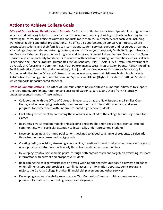## **Actions to Achieve College Goals**

**Office of Outreach and Relations with Schools:** De Anza is continuing its partnerships with local high schools, which include offering help with placement and educational planning at 42 high schools each spring for the following fall term. The Office of Outreach conducts more than 250 outreach events each year, including workshops, tabling and other presentations. The office also coordinates an annual Open House, where prospective students and their families can learn about student services, support and resources on campus – including computer labs and tutoring centers, as well as foster youth support, Disability Support Programs and Services, Extended Opportunities Programs and Services, Financial Aid and Veteran Services. The Open House is also an opportunity for students to connect with academic Learning Communities such as First Year Experience, the Honors Program, Humanities Mellon Scholars, IMPACT AAPI, LEAD (Latinx Empowerment at De Anza), LinC (Learning in Communities), Math Peformance Success, Men of Color, Puente, REACH (Reading, English, Athletics, Counseling and Humanities), Umoja and the Vasconcellos Institute for Democracy in Action. In addition to the Office of Outreach, other college programs that visit area high schools include Automotive Technology, Computer Information Systems and HEFAS (Higher Education for AB 540 Students), which supports undocumented students.

**Office of Communications:** The Office of Communications has undertaken numerous initiatives to support the recruitment, enrollment, retention and success of students, particularly those from historically underrepresented groups. These include

- Collaborating with the Office of Outreach in events such as the New Student and Families Open House, and in developing postcards, flyers, recruitment and informational emails, and event programs for conferences with underrepresented high school students
- • Facilitating recruitment by contacting those who have applied to the college but not registered for classes
- Recruiting diverse student models and selecting photographs and videos to represent all student communities, with particular attention to historically underrepresented students
- Developing online and printed publications designed to appeal to a range of students, particularly those from underrepresented backgrounds
- Creating radio, television, streaming video, online, transit and transit shelter advertising campaigns to reach prospective students, particularly those from underserved communities
- Developing creative social media posts, through both organic reach and targeted advertising, to share information with current and prospective students
- Redesigning the college website into an award-winning site that features easy-to-navigate guidance on enrollment steps and provides streamlined access to information about academic programs, majors, the De Anza College Promise, financial aid, placement and other services
- Developing a series of website resources on "Our Counselors," marked with a signature logo, to provide information on counseling resources collegewide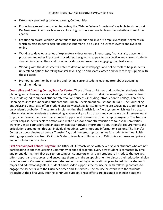- Extensively promoting college Learning Communities
- Producing a recruitment video to portray the "Whole College Experience" available to students at De Anza, used in outreach events at local high schools and available on the website and YouTube channel
- Creating an award-winning video tour of the campus and linked "Campus Spotlight" segments in which diverse students describe campus landmarks, also used in outreach events and available online
- Working to develop a series of explanatory videos on enrollment steps, financial aid, placement processes and other important procedures, designed to appeal to prospective and current students steeped in video culture and for whom videos can prove more engaging than text alone
- Working with the Assessment Center to develop new webpages and online tools to help students understand options for taking transfer-level English and Math classes and for receiving support with those classes
- Promoting retention by emailing and texting current students each quarter about upcoming enrollment dates

**Counseling and Advising Center, Transfer Center:** These offices assist new and continuing students with planning and achieving career and educational goals. In addition to individual meetings, counselors teach courses designed to support student retention and success, including Introduction to College, Career Life Planning courses for undecided students and Human Development courses for life skills. The Counseling and Advising Center also offers student success workshops for students who are struggling academically or on academic probation. The center is implementing the Starfish Early Alert system, which lets instructors raise an alert when students are struggling academically, so instructors and counselors can intervene early to provide those students with coordinated support and referrals to other campus programs. The Transfer Center helps students explore options and make plans for a smooth transition to four-year universities. Transfer Center counselors and an academic adviser provide information about transfer requirements and articulation agreements, through individual meetings, workshops and information sessions. The Transfer Center also coordinates an annual Transfer Day and numerous opportunities for students to meet iwith visiting representatives from California State University and University of California campuses and private and out-of-state universities.

**First-Year Support Cohort Program:** The Office of Outreach works with new first-year students who are not participating in another Learning Community or special program. Every new student is contacted by email and phone during their first quarter on campus. Counselors email each student to introduce themselves, offer support and resources, and encourage them to make an appointment to discuss their educational plan or other needs. Counselors assist each student with creating an educational plan, based on the student's major and educational goals. A student ambassador supports the counselors with follow-up contacts to engage the students with the Outreach office and its services. The counselors work with the students throughout their first year, offering continued support. These efforts are designed to increase student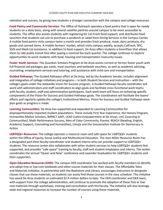retention and success, by giving new students a stronger connection with the campus and college resources.

**Food Pantry and Community Services:** The Office of Outreach operates a food pantry that is open for needy students on a daily basis, along with several satellite pantries around campus to be more accessible to students. The office also assists students with registering for Cal-Fresh food support, and distributes food vouchers that students can use to purchase a sandwich or salad from Dining Services in the Campus Center. A mobile food pantry visits campus twice a month and provides fresh produce, meat, dairy products, dry goods and canned items. A mobile farmers' market, which visits campus weekly, accepts CalFresh, WIC, SSDI and Medi-Cal assistance. In addition to food support, De Anza offers students a SmartPass that allows them to ride public transit free after paying a nominal fee each quarter. The college continues to explore opportunities to assist students with food, housing and transportation insecurity issues.

**Foster Youth Services:** The Guardian Scholars Program at De Anza assists current or former foster youth with full financial aid packages, gas cards, meal vouchers and textbook vouchers, as well as academic advising, counseling, employment services and tutoring, and assistance with child care and transportation.

**Guided Pathways:** The Guided Pathways effort at De Anza, led by the Academic Senate, includes alignment and integration of college initiatives and programs – in both Student Services and Instruction – with the college's goals under the statewide Vision for Success program. A Guided Pathways faculty coordinator will work with administrators and staff coordinators to align goals and facilitate cross-functional work teams with faculty, student, staff and administrative participants. Each work team will focus on achieving specific components of the Vision for Success and Guided Pathways goals. The coordinators will facilitate the teams' efforts and regularly update the college's Institutional Metrics, Vision for Success and Guided Pathways workplan goals as progress is made.

**Learning Communities:** De Anza has supported and expanded its Learning Communities for disproportionately impacted student populations. These include First Year Experience, the Honors Program, Humanities Mellon Scholars, IMPACT AAPI, LEAD (Latinx Empowerment at De Anza), LinC (Learning in Communities), Math Performance Success, Men of Color Community, Puente, REACH (Reading, English, Academic Support, Counseling and Humanities), Umoja and the Vasconcellos Institute for Democracy in Action.

**LGBTQQI+ Resources:** The college operates a resource room and safe space for LGBTQQI+ students within the Office of Equity, Social Justice and Multicultural Education. The Jean Miller Resource Room has a designated part-time faculty-coordinator and student interns who can provide support to LGBTQQI+ students. The resource center also collaborates with other student services to help LGBTQQI+ students feel supported, and provides "safe space" training to faculty, staff and student employees and interns. The center coordinates the annual "Queer and Now" conference and Lavender Graduation for LGBTQQI+ students and their supporters.

**Open Education Resources (OER):** The campus OER coordinator has worked with faculty members to identify and adopt free or low-cost textbooks and other course materials for their classes. The Affordable Texts and Materials initiative, in partnership with the Bookstore and Library, encourages instructors to designate classes that use these materials, so students can easily find those courses in the class schedule. This initiative has saved De Anza students an estimated \$2.9 million dollars to date. The OER coordinator and OER team, with support from the college administration, will continue to promote the adoption of these free or lowcost materials through workshops, training and consultation with the faculty. The initiative will also leverage state and regional resources to increase the number of courses using these materials.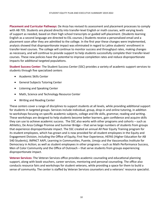**Placement and Curricular Pathways:** De Anza has revised its assessment and placement processes to comply with AB 705. Students are placed directly into transfer-level English or math courses, with varying levels of support as needed, based on their high school transcripts or guided self-placement. (Students learning English as a second language are directed to ESL courses.) Students receive a personalized email and a placement soon after they are admitted to the college. In the first year these changes were implemented, analysis showed that disproportionate impact was eliminated in regard to Latinx students' enrollment in transfer-level courses. The college will continue to monitor success and throughput rates, making changes as necessary, and will continue to provide support to help students successfully complete their transfer-level courses. These new policies have the potential to improve completion rates and reduce disproportionate impacts for additional targeted populations.

**Student Success Center:** The Student Success Center (SSC) provides a variety of academic support services to students through five specialized centers

- Academic Skills Center
- • General Subjects Tutoring Center
- • Listening and Speaking Center
- Math, Science and Technology Resource Center
- • Writing and Reading Center

These centers cover a range of disciplines to support students at all levels, while providing additional support for students in targeted groups. Services include individual, group, drop-in and online tutoring, in addition to workshops focusing on specific academic subjects, college and life skills, grammar, reading and writing. These workshops are designed to help students become better learners, gain confidence and acquire skills they can use to achieve academic success. The SSC also works with other programs and cohorts – such as Athletics, De Anza College Promise and Summer Bridge – that serve large numbers of students from groups that experience disproportionate impact. The SSC created an annual All Peer Equity Training program for its student employees, which has grown and is now provided for all student employees in the Equity and Engagement Division, including the Office of Equity, First Year Experience, HEFAS (Higher Education for AB 540 Students), IMPACT AAPI, Learning in Communities, Puente, Umoja and the Vasconcellos Institute for Democracy in Action; as well as student employees in other programs – such as Math Performance Success, Men of Color Community and the Office of Outreach – that serve students from groups experiencing disproportionate impact.

**Veteran Services:** The Veteran Services office provides academic counseling and educational planning support, along with book vouchers, career services, mentoring and personal counseling. The office also conducts resource fairs and workshops for student veterans, while providing a space for them to build a sense of community. The center is staffed by Veteran Services counselors and a veterans' resource specialist.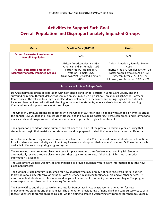## **Activities to Support Each Goal – Overall Population and Disproportionately Impacted Groups**

| <b>Metric</b>                                                                                                                                                                                                                                                                                                                                                                                                                                                                                                       | <b>Baseline Data (2017-18)</b>                                                                                                                             | <b>Goals</b>                                                                                                                                                                             |  |  |  |  |  |  |  |
|---------------------------------------------------------------------------------------------------------------------------------------------------------------------------------------------------------------------------------------------------------------------------------------------------------------------------------------------------------------------------------------------------------------------------------------------------------------------------------------------------------------------|------------------------------------------------------------------------------------------------------------------------------------------------------------|------------------------------------------------------------------------------------------------------------------------------------------------------------------------------------------|--|--|--|--|--|--|--|
| <b>Access: Successful Enrollment -</b><br><b>Overall Population</b>                                                                                                                                                                                                                                                                                                                                                                                                                                                 | 52%                                                                                                                                                        | 52%                                                                                                                                                                                      |  |  |  |  |  |  |  |
| <b>Access: Successful Enrollment -</b><br><b>Disproportionately Impacted Groups</b>                                                                                                                                                                                                                                                                                                                                                                                                                                 | African American, Female: 43%<br>American Indian, Female, 42%<br>Foster Youth, Female: 45%<br>Veteran, Female: 36%<br>Unknown/Not Reported, Female:<br>44% | African American, Female: 50% or<br>$+114$<br>American Indian, Female: 50% or +16<br>Foster Youth, Female: 50% or +22<br>Veteran, Female: 50% or +20<br>Unknown/Not Reported: 50% or +21 |  |  |  |  |  |  |  |
|                                                                                                                                                                                                                                                                                                                                                                                                                                                                                                                     | <b>Activities to Achieve College Goals</b>                                                                                                                 |                                                                                                                                                                                          |  |  |  |  |  |  |  |
| De Anza maintains strong collaboration with high schools and school districts in Santa Clara County and the<br>surrounding region, through delivery of services on-site in 42 area high schools, an annual High School Partners<br>Conference in the fall and four High School Student Conferences in the winter and spring. High school outreach<br>includes placement and educational planning for prospective students, who are also informed about Learning<br>Communities and support services at the college. |                                                                                                                                                            |                                                                                                                                                                                          |  |  |  |  |  |  |  |
| The Office of Communications collaborates with the Office of Outreach and Relations with Schools on events such as<br>the annual New Student and Families Open House, and in developing postcards, flyers, recruitment and informational<br>emails, and event programs for conferences with underrepresented high school students.                                                                                                                                                                                  |                                                                                                                                                            |                                                                                                                                                                                          |  |  |  |  |  |  |  |
| The application period for spring, summer and fall opens on Feb. 1 of the previous academic year, ensuring that<br>students can begin their matriculation steps early and be prepared to start their educational careers at De Anza.                                                                                                                                                                                                                                                                                |                                                                                                                                                            |                                                                                                                                                                                          |  |  |  |  |  |  |  |
| An online orientation program was developed and launched in fall 2015 to support online students, provide options<br>for all students to meet priority enrollment requirements, and support their academic success. Online orientation is<br>available in Canvas through single sign-on system.                                                                                                                                                                                                                     |                                                                                                                                                            |                                                                                                                                                                                          |  |  |  |  |  |  |  |
| The college no longer requires placement tests for placement into transfer-level math and English. Students<br>automatically receive a course placement after they apply to the college, if their U.S. high school transcript<br>information is available.                                                                                                                                                                                                                                                          |                                                                                                                                                            |                                                                                                                                                                                          |  |  |  |  |  |  |  |
| The Assessment website was revised and enhanced to provide students with relevant information about the new<br>placement process.                                                                                                                                                                                                                                                                                                                                                                                   |                                                                                                                                                            |                                                                                                                                                                                          |  |  |  |  |  |  |  |
| The Summer Bridge program is designed for new students who may or may not have registered for fall quarter.<br>It provides a four-day intensive orientation, with assistance in applying for financial aid and all other services. It<br>also connects students with role models and helps build a sense of community before classes begin. The program<br>encourages students to enroll in a Learning Community.                                                                                                   |                                                                                                                                                            |                                                                                                                                                                                          |  |  |  |  |  |  |  |
| The Equity Office and the Vasconcellos Institute for Democracy in Action sponsor an orientation for new<br>undocumented students and their families. The orientation provides legal, financial aid and support services to assist<br>those students with transitioning to college, while helping to create a welcoming environment for them to succeed.                                                                                                                                                             |                                                                                                                                                            |                                                                                                                                                                                          |  |  |  |  |  |  |  |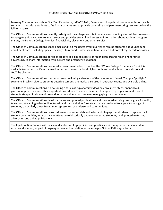Learning Communities such as First Year Experience, IMPACT AAPI, Puente and Umoja hold special orientations each summer to introduce students to De Anza's campus and to provide counseling and peer mentoring services before the fall term starts.

The Office of Communications recently redesigned the college website into an award-winning site that features easyto-navigate guidance on enrollment steps and provides streamlined access to information about academic programs, majors, the De Anza College Promise, financial aid, placement and other services.

The Office of Communications sends emails and text messages every quarter to remind students about upcoming enrollment dates, including special messages to remind students who have applied but not yet registered for classes.

The Office of Communications develops creative social media posts, through both organic reach and targeted advertising, to share information with current and prospective students.

The Office of Communications produced a recruitment video to portray the "Whole College Experience," which is available to students at De Anza, used in outreach events at local high schools and available on the website and YouTube channel.

The Office of Communications created an award-winning video tour of the campus and linked "Campus Spotlight" segments in which diverse students describe campus landmarks, also used in outreach events and available online.

The Office of Communications is developing a series of explanatory videos on enrollment steps, financial aid, placement processes and other important procedures. These are designed to appeal to prospective and current students steeped in video culture and for whom videos can prove more engaging than text alone.

The Office of Communications develops online and printed publications and creates advertising campaigns – for radio, television, streaming video, online, transit and transit shelter formats – that are designed to appeal to a range of students, particularly those from underrepresented or underserved communities.

The Office of Communications recruits diverse student models and selects photographs and videos to represent all student communities, with particular attention to historically underrepresented students, in all printed materials, advertising and online publications.

The Equity Action Council will review and address college policies and practices which may be barriers to student access and success, as part of ongoing review and in relation to the college's Guided Pathways efforts.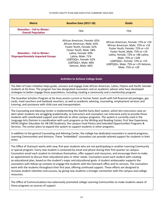#### STUDENT EQUITY PLAN AND EXECUTIVE SUMMARY 2019-2022

| <b>Metric</b>                                                                                                                                                                                                                                                                                                                                                                                                                                                                                                                                                                                                                                                                                                                                                                                                                                                                                                                                                | <b>Baseline Data (2017-18)</b>                                                                                                                                                                                                                                                                                                                   | <b>Goals</b>                                                                                                                                                                                                                                                                                           |  |  |  |  |  |  |  |
|--------------------------------------------------------------------------------------------------------------------------------------------------------------------------------------------------------------------------------------------------------------------------------------------------------------------------------------------------------------------------------------------------------------------------------------------------------------------------------------------------------------------------------------------------------------------------------------------------------------------------------------------------------------------------------------------------------------------------------------------------------------------------------------------------------------------------------------------------------------------------------------------------------------------------------------------------------------|--------------------------------------------------------------------------------------------------------------------------------------------------------------------------------------------------------------------------------------------------------------------------------------------------------------------------------------------------|--------------------------------------------------------------------------------------------------------------------------------------------------------------------------------------------------------------------------------------------------------------------------------------------------------|--|--|--|--|--|--|--|
| <b>Retention - Fall to Winter:</b><br><b>Overall Population</b>                                                                                                                                                                                                                                                                                                                                                                                                                                                                                                                                                                                                                                                                                                                                                                                                                                                                                              | 74%                                                                                                                                                                                                                                                                                                                                              | 75%                                                                                                                                                                                                                                                                                                    |  |  |  |  |  |  |  |
| <b>Retention - Fall to Winter:</b><br><b>Disproportionately Impacted Groups</b>                                                                                                                                                                                                                                                                                                                                                                                                                                                                                                                                                                                                                                                                                                                                                                                                                                                                              | African American, Female: 65%<br>African American, Male: 65%<br>Foster Youth, Female: 62%<br>Foster Youth, Male: 58%<br>Latinx, Female: 69%<br>Latinx, Male: 71%<br>LGBTQQI+, Female: 62%<br>LGBTQQI+, Male: 68%<br>Veteran, Male: 66%                                                                                                           | African American, Female: 72% or +24<br>African American, Male: 75% or +33<br>Foster Youth, Female: 72% or +14<br>Foster Youth, Male: 75% or +19<br>Latinx, Female: 72% or +86 Latinx,<br>Male: 75% or +109<br>LGBTQQI+, Female: 72% or +53<br>LGBTQQI+, Male: 75% or +19 Veteran,<br>Male: 75% or +29 |  |  |  |  |  |  |  |
|                                                                                                                                                                                                                                                                                                                                                                                                                                                                                                                                                                                                                                                                                                                                                                                                                                                                                                                                                              | <b>Activities to Achieve College Goals</b>                                                                                                                                                                                                                                                                                                       |                                                                                                                                                                                                                                                                                                        |  |  |  |  |  |  |  |
|                                                                                                                                                                                                                                                                                                                                                                                                                                                                                                                                                                                                                                                                                                                                                                                                                                                                                                                                                              | The Men of Color initiative helps guide, connect and engage male African American, Latinx, Filipinx and Pacific Islander<br>students at De Anza. The program has two designated counselors and an academic adviser who have developed<br>strategies to better engage these populations, including creating a community and a mentorship program. |                                                                                                                                                                                                                                                                                                        |  |  |  |  |  |  |  |
| The Guardian Scholars Program at De Anza assists current or former foster youth with full financial aid packages, gas<br>cards, meal vouchers and textbook vouchers, as well as academic advising, counseling, employment services and<br>tutoring, and assistance with child care and transportation.                                                                                                                                                                                                                                                                                                                                                                                                                                                                                                                                                                                                                                                       |                                                                                                                                                                                                                                                                                                                                                  |                                                                                                                                                                                                                                                                                                        |  |  |  |  |  |  |  |
| The Counseling and Advising Center is implementing the Starfish Early Alert system, which lets instructors raise an<br>alert when students are struggling academically, so instructors and counselors can intervene early to provide those<br>students with coordinated support and referrals to other campus programs. The system is currently used in the<br>Language Arts Division in coordination with such programs as the Writing and Reading Center, First Year Experience,<br>HEFAS (Higher Education for AB 540 Students), the campus Food Pantry and Extended Opportunities Programs &<br>Services. The center plans to expand the system to support students in other programs.                                                                                                                                                                                                                                                                   |                                                                                                                                                                                                                                                                                                                                                  |                                                                                                                                                                                                                                                                                                        |  |  |  |  |  |  |  |
| In addition to the general Counseling and Advising Center, the college has dedicated counselors in several programs,<br>Learning Communities and divisions. These "embedded" counselors can provide tailored support for students in their<br>areas.                                                                                                                                                                                                                                                                                                                                                                                                                                                                                                                                                                                                                                                                                                         |                                                                                                                                                                                                                                                                                                                                                  |                                                                                                                                                                                                                                                                                                        |  |  |  |  |  |  |  |
| The Office of Outreach works with new, first-year students who are not participating in another Learning Community<br>or special program. Every new student is contacted by email and phone during their first quarter on campus.<br>Counselors email each student to introduce themselves, offer support and resources, and encourage them to make<br>an appointment to discuss their educational plan or other needs. Counselors assist each student with creating<br>an educational plan, based on the student's major and educational goals. A student ambassador supports the<br>counselors with follow-up contacts to engage the students with the Outreach office and its services. The counselors<br>work with the students throughout their first year, offering continued support. These efforts are designed to<br>increase student retention and success, by giving new students a stronger connection with the campus and college<br>resources. |                                                                                                                                                                                                                                                                                                                                                  |                                                                                                                                                                                                                                                                                                        |  |  |  |  |  |  |  |

The Office of Communications has extensively promoted college Learning Communities to make students aware of these programs as sources of support.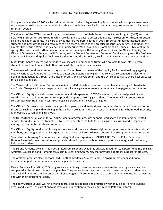Changes made under AB 705 – which allow students to take college-level English and math without placement tests – are expected to increase the number of students completing their English and math requirements and to increase retention overall.

The director of the STEM Success Program coordinates both the Math Performance Success Program (MPS) and the new MPS STEM Jumpstart Program, which are designed to ensure access and quality instruction for African American, Filipinx and Latinx students. The MPS STEM Jumpstart Program, piloted in 2018-19, serves underrepresented STEM students and provides tools and resources to help them succeed in the precalculus series of courses. In addition, the director has begun a Women in Science and Engineering (WISE) group and is organizing an UndocuSTEM event in the spring. The director will further develop campus partnerships with Learning Communities, the Office of Equity, the Office of Outreach and Relations with Schools, various Student Success and Retention Services programs, the Business, Computer Science and Applied Technologies division and the Biological, Health and Environmental Sciences division.

Math Performance Success has embedded counselors and embedded tutors who are able to work closely with students in each section, and help them successfully complete their courses.

The college will continue to train faculty and staff members on the use of the Inquiry Tool to enable disaggregating data by various student groups, as a way to better understand equity gaps. The college also conducts professional development activities through the Office of Professional Development and the Office of Equity to share best practices for closing equity gaps.

The Vasconcellos Institute for Democracy in Action (VIDA) builds a cohort of student leaders through its Leadership and Social Change certificate program, which results in a greater sense of community and engagement on campus.

The Office of Equity maintains a resource room and safe space for LGBTQQI+ students, with a designated faculty coordinator and student interns who can provide support to LGBTQQI+ students. The Jean Miller Resource Room collaborates with Health Services, Psychological Services and the Office of Equity.

The Office of Outreach coordinates a campus food pantry, satellite food pantries, a mobile farmer's market and other resources such as help with enrolling in the CalFresh program. These services assist students for whom food insecurity is an obstacle to remaining in school.

The HEFAS (Higher Education for AB 540 Students) program provides support, workspace and immigration-related services for undocumented students. HEFAS uses peer interns to help foster a sense of inclusion and engagement among undocumented students on campus.

The Office of Equity conducts culturally responsive workshops and shares high-impact practices with faculty and staff members, encouraging them to incorporate these practices into curriculum and services to support student retention.

Several of the Learning Communities – including First Year Experience, IMPACT AAPI, Men of Color, Puente and Umoja– have their own counselors and provide tailored support, such as peer support or an integrated curriculum, to help retain students.

The PE and Athletics Division has a designated counselor and academic adviser, in addition to REACH (Reading, English, Athletics, Counseling and Humanities), a campus Learning Community that provides additional support for athletes.

The Athletics program also sponsors FAST (Football Academic Success Team), a program that offers additional academic support and other resources to help athletes succeed.

Career Technical Education (CTE) programs are examining course sequences to ensure they are logical and can be completed in the shortest time frame possible. They are exploring ways to schedule courses to match student needs and availability during the day, and ways of encouraging CTE students to take a variety of general education courses in line with their educational goals.

The Equity Action Council will review and address college policies and practices which may be barriers to student access and success, as part of ongoing review and in relation to the college's Guided Pathways efforts.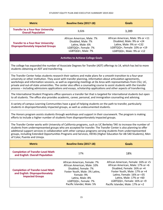#### STUDENT EQUITY PLAN AND EXECUTIVE SUMMARY 2019-2022

| <b>Metric</b>                                                                                                                                                                                                                                                                                                                                                                                                                                                                                                                                                                                           | <b>Baseline Data (2017-18)</b>                                                                                                                                                                                | <b>Goals</b>                                                                                                                                                                                                                                                           |  |  |  |  |  |  |  |  |
|---------------------------------------------------------------------------------------------------------------------------------------------------------------------------------------------------------------------------------------------------------------------------------------------------------------------------------------------------------------------------------------------------------------------------------------------------------------------------------------------------------------------------------------------------------------------------------------------------------|---------------------------------------------------------------------------------------------------------------------------------------------------------------------------------------------------------------|------------------------------------------------------------------------------------------------------------------------------------------------------------------------------------------------------------------------------------------------------------------------|--|--|--|--|--|--|--|--|
| <b>Transfer to a Four-Year University:</b><br><b>Overall Population</b>                                                                                                                                                                                                                                                                                                                                                                                                                                                                                                                                 | 3,026                                                                                                                                                                                                         | 3,289                                                                                                                                                                                                                                                                  |  |  |  |  |  |  |  |  |
| <b>Transfer to a Four-Year University:</b><br><b>Disproportionately Impacted Groups</b>                                                                                                                                                                                                                                                                                                                                                                                                                                                                                                                 | African American, Male: 7%<br>Disabled, Male: 7%<br>Latinx, Male: 6%<br>LGBTQQI+, Female: 7%<br>LGBTQQI+, Male: 7%                                                                                            | African American, Male: 9% or +11<br>Disabled, Male: 9% or +24<br>Latinx, Male: 9% or +132<br>LGBTQQI+, Female: 10% or +19<br>LGBTQQI+, Male: 9% or +12                                                                                                                |  |  |  |  |  |  |  |  |
| <b>Activities to Achieve College Goals</b>                                                                                                                                                                                                                                                                                                                                                                                                                                                                                                                                                              |                                                                                                                                                                                                               |                                                                                                                                                                                                                                                                        |  |  |  |  |  |  |  |  |
| The college has expanded the number of Associate Degrees for Transfer (ADT) offerings to 14, which has led to more<br>students obtaining an ADT and transferring.                                                                                                                                                                                                                                                                                                                                                                                                                                       |                                                                                                                                                                                                               |                                                                                                                                                                                                                                                                        |  |  |  |  |  |  |  |  |
| The Transfer Center helps students research their options and make plans for a smooth transition to a four-year<br>university or other institution. They assist with transfer planning, information about articulation agreements,<br>workshops and information sessions, as well as organizing meetings at De Anza with representatives from CSU, UC,<br>private and out-of-state universities. The center also offers a counseling course to assist students with the transfer<br>process - including admissions applications and essays, scholarship applications and other aspects of transferring. |                                                                                                                                                                                                               |                                                                                                                                                                                                                                                                        |  |  |  |  |  |  |  |  |
| The International Student Programs office sponsors a transfer fair that is targeted for international students but open<br>to all students. The office also provides academic, career, personal, and immigration counseling and advising.                                                                                                                                                                                                                                                                                                                                                               |                                                                                                                                                                                                               |                                                                                                                                                                                                                                                                        |  |  |  |  |  |  |  |  |
| A variety of campus Learning Communities have a goal of helping students on the path to transfer, particularly<br>students in disproportionately impacted groups, as well as undocumented students.                                                                                                                                                                                                                                                                                                                                                                                                     |                                                                                                                                                                                                               |                                                                                                                                                                                                                                                                        |  |  |  |  |  |  |  |  |
| The Honors program assists students through workshops and support in their coursework. The program is making<br>efforts to include a higher number of students from disproportionately impacted groups.                                                                                                                                                                                                                                                                                                                                                                                                 |                                                                                                                                                                                                               |                                                                                                                                                                                                                                                                        |  |  |  |  |  |  |  |  |
| The Transfer Center works with University of California programs, such as UC Berkeley TAP, to increase the number of<br>students from underrepresented groups who are accepted for transfer. The Transfer Center is also planning to offer<br>additional support services in collaboration with other campus programs serving students from underrepresented<br>groups, including Extended Opportunities Programs and Services, HEFAS (Higher Education for AB 540 Students), Men<br>of Color, Puente and Umoja.                                                                                        |                                                                                                                                                                                                               |                                                                                                                                                                                                                                                                        |  |  |  |  |  |  |  |  |
| <b>Metric</b>                                                                                                                                                                                                                                                                                                                                                                                                                                                                                                                                                                                           | <b>Baseline Data (2017-18)</b>                                                                                                                                                                                | <b>Goals</b>                                                                                                                                                                                                                                                           |  |  |  |  |  |  |  |  |
| <b>Completion of Transfer-Level Math</b><br>and English: Overall Population                                                                                                                                                                                                                                                                                                                                                                                                                                                                                                                             | 17%                                                                                                                                                                                                           | 18%                                                                                                                                                                                                                                                                    |  |  |  |  |  |  |  |  |
| <b>Completion of Transfer-Level Math</b><br>and English: Disproportionately<br><b>Impacted Groups</b>                                                                                                                                                                                                                                                                                                                                                                                                                                                                                                   | African American, Female: 7%<br>African American, Male: 10%<br>Disabled, Female: 7%<br>Foster Youth, Male: 3% Latinx,<br>Female: 9%<br>Latinx, Male: 8%<br>LGBTQQI+, Female: 7%<br>Pacific Islander, Male: 5% | African American, Female: 16% or +5<br>African American, Male: 17% or +6<br>Disabled, Female: 16% or +4<br>Foster Youth, Male: 17% or +4<br>Latinx, Female: 16% or +35<br>Latinx, Male: 17% or +60<br>LGBTQQI+, Female: 16% or +9<br>Pacific Islander, Male: 17% or +2 |  |  |  |  |  |  |  |  |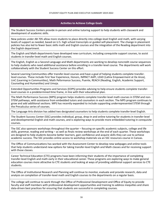#### **Activities to Achieve College Goals**

The Student Success Centers provide in-person and online tutoring support to help students with classwork and development of academic skills.

New policies under AB 705 allow more students to place directly into college-level English and math, with varying levels of support as needed, based on U.S. high school transcripts or guided self-placement. The change in placement policies has also led to fewer basic skills math and English courses and the integration of the Reading department into the English department.

The English and Math departments have developed new curriculum, including corequisite support courses, to assist students in transfer-level math and English courses.

The English, English as a Second Language and Math departments are working to develop noncredit course sequences to help students who need additional assistance before enrolling in a transfer-level course. The departments will work collaboratively with the Student Success Center on this effort.

Several Learning Communities offer transfer-level courses and have a goal of helping students complete transferlevel courses. These include First Year Experience, Honors, IMPACT AAPI, LEAD (Latinx Empowerment at De Anza), LinC (Learning in Communities), Math Peformance Success, Puente, REACH (Reading, English, Academic Support, Counseling and Humanities) and Umoja.

Extended Opportunities Programs and Services (EOPS) provides advising to help ensure students complete transferlevel courses in a predetermined time frame, in line with their educational plan.

The Math Performance Success (MPS) program helps students complete transfer-level math courses in STEM and non-STEM pathways, with assistance from embedded tutors and counselors in each section. The MPS program continues to grow and add additional sections. MPS has recently expanded to include supporting underrepresented STEM through the Precalculus series of courses.

The Language Arts division has added two designated counselors to help students complete transfer-level English.

The Student Success Center (SSC) provides individual, group, drop-in and online tutoring for students in transfer-level and developmental English and math courses, and is exploring ways to provide more embedded tutoring in corequisite courses.

The SSC also sponsors workshops throughout the quarter – focusing on specific academic subjects, college and life skills, grammar, reading and writing – as well as finals review workshops at the end of each quarter. These workshops are designed to help students become better learners, gain confidence and acquire skills they can use to achieve academic success. The SSC provides online access to workshop materials via an SSC resources course in Canvas.

The Office of Communications has worked with the Assessment Center to develop new webpages and online tools that help students understand new options for taking transfer-level English and Math classes and for receiving support with those classes.

Career Technical Education (CTE) programs have been informing their students of the importance of completing transfer-level English and math early in their educational career. These programs are exploring ways to make general education courses more attractive to CTE students and looking at ways of providing additional support services to CTE students.

The Office of Institutional Research and Planning will continue to monitor, evaluate and provide research, data and analysis on completion of transfer-level math and English courses to the departments on a regular basis.

The college will continue to work through the Office of Professional Development and Office of Equity to provide faculty and staff members with professional development opportunities and training to address inequities and share data-driven best practices for ensuring that students are successful in completing courses.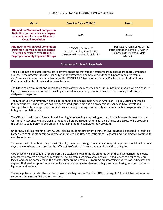#### STUDENT EQUITY PLAN AND EXECUTIVE SUMMARY 2019-2022

| <b>Metric</b>                                                                                                                                                                                                                                                                                                                                                                                                                                                                                                  | Baseline Data - 2017-18                                                              | <b>Goals</b>                                                                                                              |  |  |  |  |  |  |  |
|----------------------------------------------------------------------------------------------------------------------------------------------------------------------------------------------------------------------------------------------------------------------------------------------------------------------------------------------------------------------------------------------------------------------------------------------------------------------------------------------------------------|--------------------------------------------------------------------------------------|---------------------------------------------------------------------------------------------------------------------------|--|--|--|--|--|--|--|
| <b>Attained the Vision Goal Completion</b><br><b>Definition (earned associate degree</b><br>or credit certificate over 18 units):<br><b>Overall Population</b>                                                                                                                                                                                                                                                                                                                                                 | 2,698                                                                                | 2,815                                                                                                                     |  |  |  |  |  |  |  |
| <b>Attained the Vision Goal Completion</b><br><b>Definition (earned associate degree</b><br>or credit certificate over 18 units):<br><b>Disproportionately Impacted Groups</b>                                                                                                                                                                                                                                                                                                                                 | LGBTQQI+, Female: 5%<br>Pacific Islander, Female: 1%<br>Unknown/Unreported, Male: 3% | LGBTQQI+, Female: 7% or +21<br>Pacific Islander, Female: 7% or +4<br>Unknown/Unreported, Male:<br>$6\%$ or +5             |  |  |  |  |  |  |  |
|                                                                                                                                                                                                                                                                                                                                                                                                                                                                                                                | <b>Activities to Achieve College Goals</b>                                           |                                                                                                                           |  |  |  |  |  |  |  |
| The college has dedicated counselors in several programs that support students from disproportionately impacted<br>groups. These programs include Disability Support Programs and Services, Extended Opportunities Programs<br>and Services, Guardian Scholars (foster youth), IMPACT AAPI (Asian American and Pacific Islander), Men of Color<br>Community, Puente, Umoja and Veteran Services.                                                                                                               |                                                                                      |                                                                                                                           |  |  |  |  |  |  |  |
| The Office of Communications developed a series of website resources on "Our Counselors," marked with a signature<br>logo, to provide information on counseling and academic advising resources available both collegewide and in<br>designated programs.                                                                                                                                                                                                                                                      |                                                                                      |                                                                                                                           |  |  |  |  |  |  |  |
| The Men of Color Community helps guide, connect and engage male African American, Filipinx, Latinx and Pacific<br>Islander students. The program has two designated counselors and an academic adviser, who have developed<br>strategies to better engage these populations, including creating a community and a mentorship program, which leads<br>to higher completion rates.                                                                                                                               |                                                                                      |                                                                                                                           |  |  |  |  |  |  |  |
| The Office of Institutional Research and Planning is developing a reporting tool within the Program Review tool that<br>will identify students who are close to meeting all program requirements for a certificate or degree, while providing<br>the ability to send personalized emails encouraging them to complete their program.                                                                                                                                                                           |                                                                                      |                                                                                                                           |  |  |  |  |  |  |  |
| Under new policies resulting from AB 705, placing students directly into transfer-level courses is expected to lead to a<br>monitor outcomes.                                                                                                                                                                                                                                                                                                                                                                  |                                                                                      | higher rate of students earning a degree and transfer. The Office of Institutional Research and Planning will continue to |  |  |  |  |  |  |  |
| The college will share best practices with faculty members through the annual Convocation, professional development<br>days and workshops sponsored by the Office of Professional Development and the Office of Equity.                                                                                                                                                                                                                                                                                        |                                                                                      |                                                                                                                           |  |  |  |  |  |  |  |
| Career Technical Education (CTE) programs are exploring ways to notify students when they have earned the credits<br>necessary to receive a degree or certificate. The programs are also examining course sequences to ensure they are<br>logical and can be completed in the shortest time frame possible. Programs are informing students of certificates and<br>degrees that lead to opportunities in sectors where employment demand is high, and are offering new certificates in<br>high-demand sectors. |                                                                                      |                                                                                                                           |  |  |  |  |  |  |  |
| The college has expanded the number of Associate Degrees for Transfer (ADT) offerings to 14, which has led to more<br>students obtaining an ADT and transferring.                                                                                                                                                                                                                                                                                                                                              |                                                                                      |                                                                                                                           |  |  |  |  |  |  |  |
|                                                                                                                                                                                                                                                                                                                                                                                                                                                                                                                |                                                                                      |                                                                                                                           |  |  |  |  |  |  |  |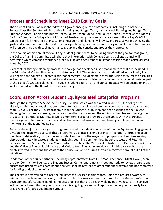## **Process and Schedule to Meet 2019 Equity Goals**

The Student Equity Plan was shared with all governance groups across campus, including the Academic Senate, Classified Senate, Administrative Planning and Budget Team, Instructional Planning and Budget Team, Student Services Planning and Budget Team, Equity Action Council and College Council, as well as the Foothill-De Anza Community College District Board of Trustees. All groups were made aware of the college's 2022 targets. Each fall, the Office of Institutional Research and Planning will review progress towards achieving the goals and share this information with the College Planning Committee and Equity Action Council. Information will then be shared with each governance group and the constituent groups they represent.

In the course of this annual review, if any student group seems to be falling short of the goal for that group, the College Planning Committee will share that information with College Council. College Council will determine which campus governance group will be assigned responsibility for ensuring that a particular goal is met by 2022.

As part of its strategic planning process, the college has developed institutional metrics that are included in the Educational Master Plan, which is updated each fall. The metrics and goals identified in this Equity Plan will become the college's updated Institutional Metrics, including metrics for the Vision for Success effort. This will serve to institutionalize the metrics and ensure they are updated and assessed on an annual basis, as part of the college's strategic planning. The goals, Student Equity Plan and annual updates will be posted online as well as shared with the Board of Trustees annually.

## **Coordination Across Student Equity-Related Categorical Programs**

Through the integrated SSSP/Student Equity/BSI plan, which was submitted in 2017-18, the college has already established a model that promotes integrated planning and program coordination at the district and campus levels. For the 2018-19 academic year, the Student Equity Plan has been assigned to the College Planning Committee, a shared governance group that has overseen the writing of the plan and the alignment of goals to Institutional Metrics, as well as monitoring progress towards those goals. With this process, the college aims to have substantive and well-represented involvement in planning, implementation and monitoring of the identified goals.

Because the majority of categorical programs related to student equity are within the Equity and Engagement Division, the dean who oversees these programs is a critical stakeholder in all integration efforts. The dean monitors matriculation, instruction and student support for the majority of programs and services serving disproportionately impacted students – including Learning Communities, Student Success and Retention Services, and the Student Success Center tutoring centers. The Vasconcellos Institute for Democracy in Action and the Office of Equity, Social Justice and Multicultural Education are also within this division. Both are highly involved in meeting the goals of the equity plan and ensuring they are integrated throughout all other initiatives.

In addition, other equity partners – including representatives from First Year Experience, IMPACT AAPI, Men of Color Community, Puente, the Student Success Center and Umoja – meet quarterly to review progress and ensure that programs are coordinating services, making referrals to other student programs and not competing for funding or duplicating efforts,

The college is determined to close the equity gaps discussed in this report. Doing this requires awareness, interest and involvement by faculty, staff and students across campus. It also requires continued professional development efforts and expanding the best practices that are already yielding positive results. The college will continue to monitor progress towards achieving its goals and will report on the progress annually to a broad range of shared governance groups.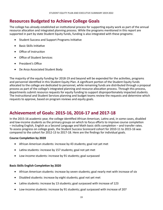## **Resources Budgeted to Achieve College Goals**

The college has already established an institutional process for supporting equity work as part of the annual resource allocation and integrated planning process. While the programs mentioned in this report are supported in part by state Student Equity funds, funding is also integrated with these programs:

- Student Success and Support Programs Initiative
- **Basic Skills Initiative**
- Office of Instruction
- • Office of Student Services
- • President's Office
- De Anza Associated Student Body

The majority of the equity funding for 2018-19 and beyond will be expended for the activities, programs and personnel identified in this Student Equity Plan. A significant portion of the Student Equity funds allocated to the college are dedicated to personnel, while remaining funds are distributed through a proposal process as part of the college's integrated planning and resource allocation process. Through this process, departments submit resource requests for equity funding to support disproportionately impacted students. The Instructional and Student Services planning and budget teams review the requests and determine which requests to approve, based on program reviews and equity goals.

## **Achievement of Goals: 2015-16, 2016-17 and 2017-18**

In the 2015-16 academic year, the college identified African American, Latinx and, in some cases, disabled and low-income students as the primary groups on which to focus efforts to improve course completion – including English, English as a Second Language and Math basic skills completion – and transfer rates. To assess progress on college goals, the Student Success Scorecard cohort for 2010-11 to 2015-16 was compared to the cohort for 2012-13 to 2017-18. Here are the findings for individual goals.

## **Course Completion by 2020**

- African American students: increase by 43 students; goal not yet met
- Latinx students: increase by 157 students; goal not yet met
- • Low-income students: increase by 91 students; goal surpassed

## **Basic Skills English Completion by 2020**

- African American students: increase by seven students; goal nearly met with increase of six
- Disabled students: increase by eight students; goal not yet met
- Latinx students: increase by 13 students; goal surpassed with increase of 123
- Low-income students: increase by 91 students; goal surpassed with increase of 207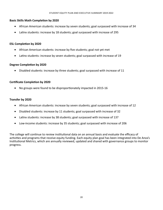#### **Basic Skills Math Completion by 2020**

- African American students: increase by seven students; goal surpassed with increase of 34
- Latinx students: increase by 18 students; goal surpassed with increase of 295

## **ESL Completion by 2020**

- African American students: increase by five students; goal not yet met
- Latinx students: increase by seven students; goal surpassed with increase of 19

## **Degree Completion by 2020**

• Disabled students: increase by three students; goal surpassed with increase of 11

## **Certificate Completion by 2020**

• No groups were found to be disproportionately impacted in 2015-16

#### **Transfer by 2020**

- African American students: increase by seven students; goal surpassed with increase of 12
- Disabled students: increase by 11 students; goal surpassed with increase of 32
- Latinx students: increase by 38 students; goal surpassed with increase of 137
- Low-income students: increase by 35 students; goal surpassed with increase of 206

The college will continue to review institutional data on an annual basis and evaluate the efficacy of activities and programs that receive equity funding. Each equity plan goal has been integrated into De Anza's Institutional Metrics, which are annually reviewed, updated and shared with governance groups to monitor progress.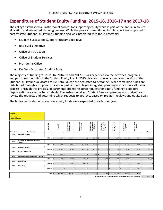## **Expenditure of Student Equity Funding: 2015-16, 2016-17 and 2017-18**

The college established an institutional process for supporting equity work as part of the annual resource allocation and integrated planning process. While the programs mentioned in this report are supported in part by state Student Equity funds, funding also was integrated with these programs:

- Student Success and Support Programs Initiative
- **Basic Skills Initiative**
- Office of Instruction
- • Office of Student Services
- President's Office
- De Anza Associated Student Body

The majority of funding for 2015-16, 2016-17 and 2017-18 was expended via the activities, programs and personnel identified in the Student Equity Plan in 2015. As stated above, a significant portion of the Student Equity funds allocated to De Anza College are dedicated to personnel, while remaining funds are distributed through a proposal process as part of the college's integrated planning and resource allocation process. Through this process, departments submit resource requests for equity funding to support disproportionately impacted students. The Instructional and Student Services planning and budget teams review the requests and determine which requests to approve, based on program reviews and equity goals.

The tables below demonstrate how equity funds were expended in each prior year.

| 2015-16<br>Foothill-DeAnza CCD                                                                                                                |                                                     |             |                    |                                    |                            |            |                                              |     |                                            |                              |                                                                             |                           |     |           |
|-----------------------------------------------------------------------------------------------------------------------------------------------|-----------------------------------------------------|-------------|--------------------|------------------------------------|----------------------------|------------|----------------------------------------------|-----|--------------------------------------------|------------------------------|-----------------------------------------------------------------------------|---------------------------|-----|-----------|
| De Anza College<br><b>STUDENT EQUITY</b>                                                                                                      |                                                     |             |                    |                                    |                            |            |                                              |     |                                            |                              |                                                                             |                           |     |           |
| <b>Object Code</b>                                                                                                                            | Classification                                      | Activity ID | Outreach           | Student Serivces<br>& Categoricals | Research and<br>Evaluation |            | Student Equity<br>Coordination &<br>Planning |     | Curriculum/<br>Course Dev. &<br>Adaptation | Professional<br>Development  | Instructional<br>Support                                                    | Direct Student<br>Support |     | Total     |
| 1000                                                                                                                                          | Academic Salaries                                   |             |                    |                                    |                            |            |                                              |     |                                            |                              |                                                                             |                           |     |           |
|                                                                                                                                               |                                                     | Subtotal    | $31,098$ \$<br>l s | $128,873$ \$                       |                            | ١s         | $47,696$ \$                                  |     |                                            | $-$ 5<br>$17,567$ \$         | 189,800   \$                                                                | $50,176$ \$               |     | 465,210   |
| 2000                                                                                                                                          | <b>Classified and Other Nonacademic</b><br>Salaries |             |                    |                                    |                            |            |                                              |     |                                            |                              |                                                                             |                           |     |           |
|                                                                                                                                               |                                                     | Subtotal    | $13,858$ \$<br>l s | $64,053$ \$                        | 84,661                     | ١s         | $69,395$ \ \$                                |     |                                            | 15<br>$15,575$ $\frac{1}{5}$ | $114,861$ \$                                                                | $24,224$ \$               |     | 386,627   |
| 3000                                                                                                                                          | <b>Employee Benefits</b>                            |             |                    |                                    |                            |            |                                              |     |                                            |                              |                                                                             |                           |     |           |
|                                                                                                                                               |                                                     | Subtotal    | 9,134<br>l s       | $70,226$ \$<br>$\mathsf{\hat{S}}$  | 30,611                     | $\zeta$    | $40,942$ \$                                  |     |                                            | $\mathsf{S}$<br>11,202       | l\$<br>$64,173$ \ \$                                                        | 44,771                    | l s | 271,059   |
| 4000                                                                                                                                          | Supplies & Materials                                |             |                    |                                    |                            |            |                                              |     |                                            |                              |                                                                             |                           |     |           |
|                                                                                                                                               |                                                     | Subtotal \$ | $29,579$ \$        |                                    | $\zeta$                    | $\zeta$    | $488$   \$                                   |     |                                            | Ś<br>$315$ $\frac{1}{5}$     | $5,022$   \$                                                                | $25,290$ \$               |     | 60,694    |
| 5000                                                                                                                                          | <b>Other Operating Expenses and Services</b>        |             |                    |                                    |                            |            |                                              |     |                                            |                              |                                                                             |                           |     |           |
|                                                                                                                                               |                                                     | Subtotal \$ | $17,033$ \$        | $11,207$ \$                        |                            | $1,168$ \$ |                                              | ls. | $5,380$ $\frac{1}{5}$                      | $41,893$ \ \$                | $42,132$ \$                                                                 |                           | l Ś | 118,813   |
| 6000                                                                                                                                          | Capital Outlay                                      |             |                    |                                    |                            |            |                                              |     |                                            |                              |                                                                             |                           |     |           |
| 7000                                                                                                                                          |                                                     | Subtotal \$ |                    | $\mathsf{S}$<br>$2,386$ \$         |                            | $4,767$ \$ |                                              | ls. |                                            | $\mathsf{S}$                 | Ś.                                                                          | l Ś<br>2,384              | l s | 9,537     |
|                                                                                                                                               | <b>Other Outgo</b>                                  |             |                    | - 5                                | $\overline{\mathsf{S}}$    | ١s         |                                              | ls. |                                            | l\$                          | ١\$                                                                         | ١ś<br>$11,478$ \$         |     |           |
|                                                                                                                                               |                                                     | Subtotal \$ |                    |                                    |                            |            |                                              |     |                                            |                              |                                                                             |                           |     | 11,478    |
| $276,745$ \$<br>$5,380$ \$<br>Total $\frac{1}{2}$<br>$100,702$ \$<br>121,207<br>١s<br>$158,521$ \$<br>$86,552$ \$<br>415,988<br>١s<br>158,323 |                                                     |             |                    |                                    |                            |            |                                              |     |                                            |                              |                                                                             |                           |     |           |
|                                                                                                                                               |                                                     |             |                    |                                    |                            |            |                                              |     |                                            |                              | Total Expenditures cannot exceed the 2015-16 Student Equity Allocation   \$ |                           |     | 1,323,418 |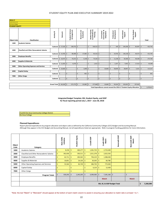| 2016-17                                                                                                                                                  |                                                  |             |                                             |                                           |                                         |                                              |                                            |                                  |                          |                           |                                     |  |
|----------------------------------------------------------------------------------------------------------------------------------------------------------|--------------------------------------------------|-------------|---------------------------------------------|-------------------------------------------|-----------------------------------------|----------------------------------------------|--------------------------------------------|----------------------------------|--------------------------|---------------------------|-------------------------------------|--|
| Foothill-DeAnza CCD                                                                                                                                      |                                                  |             |                                             |                                           |                                         |                                              |                                            |                                  |                          |                           |                                     |  |
| De Anza College                                                                                                                                          |                                                  |             |                                             |                                           |                                         |                                              |                                            |                                  |                          |                           |                                     |  |
| <b>STUDENT EQUITY</b>                                                                                                                                    |                                                  |             |                                             |                                           |                                         |                                              |                                            |                                  |                          |                           |                                     |  |
| <b>Object Code</b>                                                                                                                                       | Classification                                   | Activity ID | Outreach                                    | <b>Student Serivces</b><br>& Categoricals | g<br>Evaluation<br>Research             | Student Equity<br>Coordination &<br>Planning | Curriculum/<br>Course Dev. &<br>Adaptation | Development<br>Professional      | Instructional<br>Support | Direct Student<br>Support | <b>Total</b>                        |  |
| 1000                                                                                                                                                     | Academic Salaries                                |             |                                             |                                           |                                         |                                              |                                            |                                  |                          |                           |                                     |  |
|                                                                                                                                                          |                                                  |             | Subtotal $\frac{1}{2}$ 17,526 $\frac{1}{2}$ | $108,753$ \$                              |                                         | S.<br>$106,515$ \$                           |                                            | $\dot{\mathsf{S}}$<br>$645$   \$ | $104,206$ \$             | $85,097$ \$               | 422,742                             |  |
| 2000                                                                                                                                                     | <b>Classified and Other Nonacademic Salaries</b> |             |                                             |                                           |                                         |                                              |                                            |                                  |                          |                           |                                     |  |
|                                                                                                                                                          |                                                  |             | Subtotal $\frac{1}{2}$ 14,785 $\frac{1}{2}$ | $88,388$ \$                               | $17,580$ \$                             | $95,516$ \$                                  |                                            | l s<br>$19,705$   \$             | $136,158$ \$             | $40,573$ \$               | 412,705                             |  |
| 3000                                                                                                                                                     | <b>Employee Benefits</b>                         |             |                                             |                                           |                                         |                                              |                                            |                                  |                          |                           |                                     |  |
|                                                                                                                                                          |                                                  | Subtotal    | $10,075$ \$<br>l \$                         | $70,253$   \$                             | $4,148$ \$                              | $74,164$ \$                                  |                                            | ١s<br>$11,238$   \$              | $56,568$ \ \$            | $49,338$ \$               | 275,784                             |  |
| 4000                                                                                                                                                     | <b>Supplies &amp; Materials</b>                  |             |                                             |                                           |                                         |                                              |                                            |                                  |                          |                           |                                     |  |
|                                                                                                                                                          |                                                  |             | Subtotal $\frac{1}{2}$ 11,054 $\frac{1}{2}$ | $4,378$ \$                                |                                         | S.<br>$1,413$ \$                             |                                            | $\overline{5}$<br>$2,197$   \$   | $7,043$ \$               | $17,313$   \$             | 43,398                              |  |
| 5000                                                                                                                                                     | <b>Other Operating Expenses and Services</b>     |             |                                             |                                           |                                         |                                              |                                            |                                  |                          |                           |                                     |  |
|                                                                                                                                                          |                                                  |             | Subtotal $$10,660$ $$$                      |                                           | $\overline{\mathsf{S}}$<br>$1,000$   \$ |                                              | $\mathsf{\hat{S}}$<br>10,660               | Is.<br>$58,839$   \$             | $28,847$ \$              | $5,321$ \$                | 115,327                             |  |
| 6000                                                                                                                                                     | Capital Outlay                                   |             |                                             |                                           |                                         |                                              |                                            |                                  |                          |                           |                                     |  |
|                                                                                                                                                          |                                                  | Subtotal \$ |                                             | .5                                        | Ś.<br>$661$   \$                        |                                              | $\mathsf{S}$                               | l Ś                              | $\vert$ s                | $\mathsf{S}$              | $\mathsf{S}$<br>661                 |  |
| 7000                                                                                                                                                     | <b>Other Outgo</b>                               |             |                                             |                                           |                                         |                                              |                                            |                                  |                          |                           |                                     |  |
|                                                                                                                                                          |                                                  | Subtotal \$ |                                             | 5 <sup>1</sup>                            | Ś<br>$\sim$                             | S.                                           | $\zeta$                                    | l s                              | $-$ 5                    | $\dot{\mathsf{S}}$        | $\zeta$<br>$\overline{\phantom{a}}$ |  |
|                                                                                                                                                          |                                                  |             |                                             |                                           |                                         |                                              |                                            |                                  |                          |                           |                                     |  |
| $271,772$ \$<br>$23,389$ \$<br>$277,608$ \$<br>$332,822$ \$<br>Grand Total $\frac{1}{2}$ 64,100 $\frac{1}{2}$<br>10,660<br>l s<br>$92,624$ \$<br>197,642 |                                                  |             |                                             |                                           |                                         |                                              |                                            |                                  |                          |                           |                                     |  |
| Total Expenditures cannot exceed the 2016-17 Student Equity Allocation 5                                                                                 |                                                  |             |                                             |                                           |                                         |                                              |                                            |                                  |                          |                           | 1,270,617                           |  |

 **Integrated Budget Template: BSI, Student Equity, and SSSP** for fiscal reporting period July 1, 2017 - June 30, 2018

Foothill-De Anza Community College District De Anza College

#### **Planned Expenditures**

Report planned expenditures by program allocation and object code as defined by the California Community Colleges (CCC) Budget and Accounting Manual. Although they appear in the CCC Budget and Accounting Manual, not all expenditures listed are appropriate. Refer to program funding guidelines for more information.

| Object<br>Code | Category                                  | Basic Skills<br>Initiative   |         | Student Equity |                    | Credit SSSP    |         |                |        | Credit SSSP<br>Match | SSSP<br>Noncredit | credit SSSP<br>Match<br>o<br>ż |  |
|----------------|-------------------------------------------|------------------------------|---------|----------------|--------------------|----------------|---------|----------------|--------|----------------------|-------------------|--------------------------------|--|
| 1000           | <b>Academic Salaries</b>                  | $8,236$ \$<br>\$             |         | 460,277        | \$                 | 1,361,724      | -\$     | 2,723,448      |        |                      |                   |                                |  |
| 2000           | Classified and Other Nonacademic Salaries | \$<br>$392,930$ \$           |         | 393,511        | S.                 | $1,011,278$ \$ |         | 2,022,556      |        |                      |                   |                                |  |
| 3000           | <b>Employee Benefits</b>                  | \$<br>$62,711$ \$            |         | 283,565        | \$                 | 794,219        | -S      | 1,588,438      |        |                      |                   |                                |  |
| 4000           | Supplies & Materials                      | \$<br>$10,851$   \$          |         | 24,103         | \$                 | 30,393         | -\$     | 60,786         |        |                      |                   |                                |  |
| 5000           | Other Operating Expenses and Services     | \$<br>55,564                 | -\$     | 83,749         | $\mathsf{\hat{S}}$ | 386,750        | -\$     | 773,500        |        |                      |                   |                                |  |
| 6000           | Capital Outlay                            | \$                           | \$<br>٠ | <b>.</b>       | \$                 | 6,219          | -S      | 12,438         |        |                      |                   |                                |  |
| 7000           | Other Outgo                               | Ś                            | Ś<br>٠  | ٠              | \$                 |                |         |                |        |                      |                   |                                |  |
|                | <b>Program Totals</b>                     | \$<br>$530,292$ \$           |         | 1,245,205      | \$                 | 3,590,583      | $\zeta$ | $7,181,166$ \$ | $\sim$ | \$                   |                   |                                |  |
|                |                                           |                              |         |                |                    |                |         | <b>Match</b>   |        | <b>Match</b>         |                   |                                |  |
|                |                                           | BSI, SE, & SSSP Budget Total |         |                |                    |                |         |                |        |                      |                   |                                |  |

\*Note: the text "Match" or "Mismatch" should appear at the bottom of each match column to assist in ensuring your allocation to match ratio is at least 1 to 1.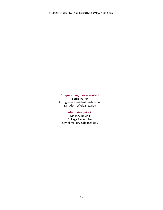## **For questions, please contact:**

Lorrie Ranck Acting Vice President, Instruction rancklorrie@deanza.edu

## **Alternate contact:**

Mallory Newell College Researcher newellmallory@deanza.edu